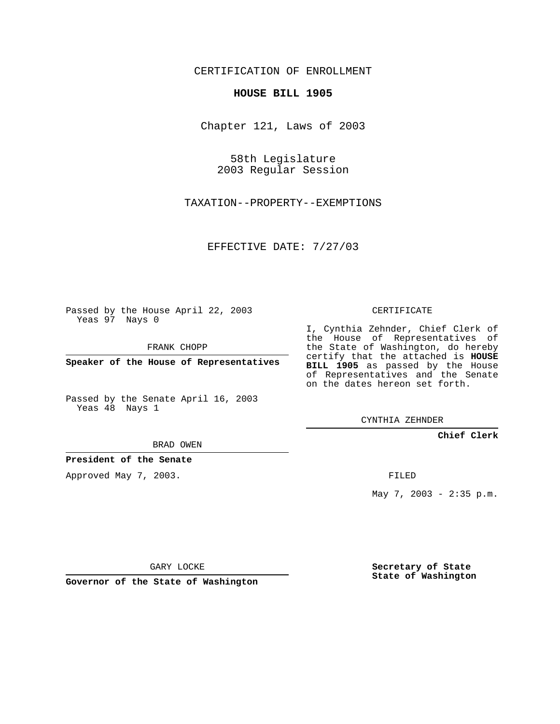CERTIFICATION OF ENROLLMENT

## **HOUSE BILL 1905**

Chapter 121, Laws of 2003

58th Legislature 2003 Regular Session

TAXATION--PROPERTY--EXEMPTIONS

EFFECTIVE DATE: 7/27/03

Passed by the House April 22, 2003 Yeas 97 Nays 0

FRANK CHOPP

**Speaker of the House of Representatives**

Passed by the Senate April 16, 2003 Yeas 48 Nays 1

BRAD OWEN

**President of the Senate**

Approved May 7, 2003.

CERTIFICATE

I, Cynthia Zehnder, Chief Clerk of the House of Representatives of the State of Washington, do hereby certify that the attached is **HOUSE BILL 1905** as passed by the House of Representatives and the Senate on the dates hereon set forth.

CYNTHIA ZEHNDER

**Chief Clerk**

FILED

May 7, 2003 - 2:35 p.m.

GARY LOCKE

**Governor of the State of Washington**

**Secretary of State State of Washington**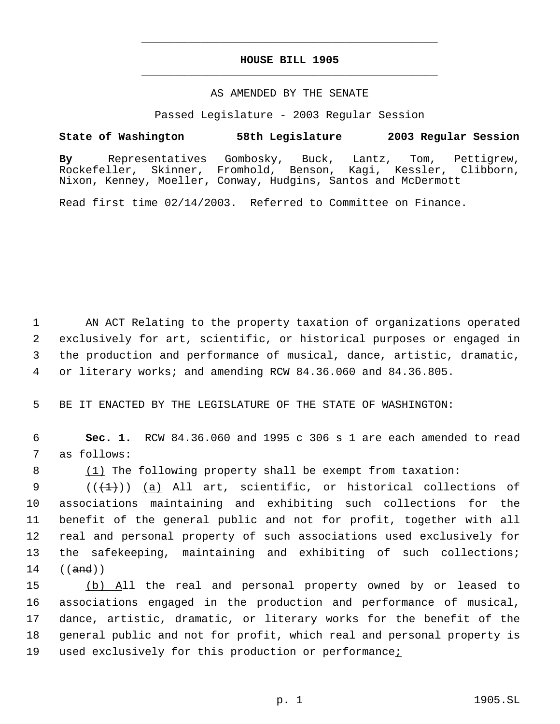## **HOUSE BILL 1905** \_\_\_\_\_\_\_\_\_\_\_\_\_\_\_\_\_\_\_\_\_\_\_\_\_\_\_\_\_\_\_\_\_\_\_\_\_\_\_\_\_\_\_\_\_

\_\_\_\_\_\_\_\_\_\_\_\_\_\_\_\_\_\_\_\_\_\_\_\_\_\_\_\_\_\_\_\_\_\_\_\_\_\_\_\_\_\_\_\_\_

## AS AMENDED BY THE SENATE

Passed Legislature - 2003 Regular Session

## **State of Washington 58th Legislature 2003 Regular Session**

**By** Representatives Gombosky, Buck, Lantz, Tom, Pettigrew, Rockefeller, Skinner, Fromhold, Benson, Kagi, Kessler, Clibborn, Nixon, Kenney, Moeller, Conway, Hudgins, Santos and McDermott

Read first time 02/14/2003. Referred to Committee on Finance.

 AN ACT Relating to the property taxation of organizations operated exclusively for art, scientific, or historical purposes or engaged in the production and performance of musical, dance, artistic, dramatic, or literary works; and amending RCW 84.36.060 and 84.36.805.

5 BE IT ENACTED BY THE LEGISLATURE OF THE STATE OF WASHINGTON:

 6 **Sec. 1.** RCW 84.36.060 and 1995 c 306 s 1 are each amended to read 7 as follows:

8 (1) The following property shall be exempt from taxation:

 $((+1))$   $(a)$  All art, scientific, or historical collections of associations maintaining and exhibiting such collections for the benefit of the general public and not for profit, together with all real and personal property of such associations used exclusively for the safekeeping, maintaining and exhibiting of such collections;  $14$   $((and))$ 

 (b) All the real and personal property owned by or leased to associations engaged in the production and performance of musical, dance, artistic, dramatic, or literary works for the benefit of the general public and not for profit, which real and personal property is 19 used exclusively for this production or performance: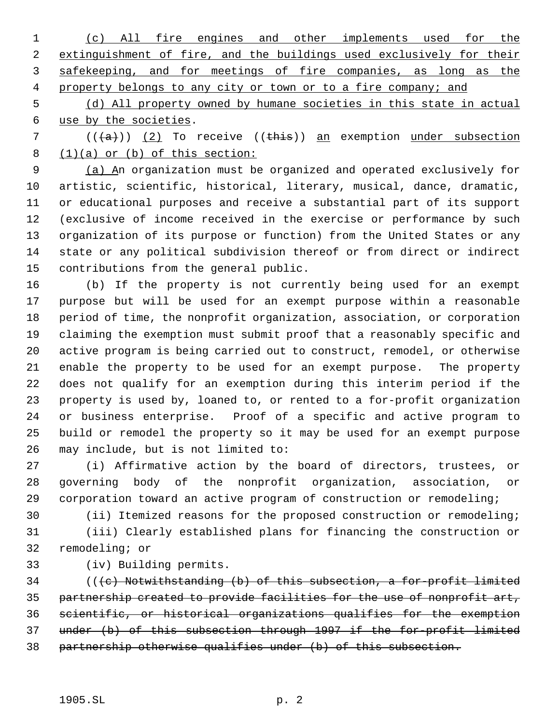(c) All fire engines and other implements used for the extinguishment of fire, and the buildings used exclusively for their 3 safekeeping, and for meetings of fire companies, as long as the 4 property belongs to any city or town or to a fire company; and

 (d) All property owned by humane societies in this state in actual use by the societies.

7  $((+a))$   $(2)$  To receive  $((+his))$  an exemption under subsection  $(1)(a)$  or  $(b)$  of this section:

 (a) An organization must be organized and operated exclusively for artistic, scientific, historical, literary, musical, dance, dramatic, or educational purposes and receive a substantial part of its support (exclusive of income received in the exercise or performance by such organization of its purpose or function) from the United States or any state or any political subdivision thereof or from direct or indirect contributions from the general public.

 (b) If the property is not currently being used for an exempt purpose but will be used for an exempt purpose within a reasonable period of time, the nonprofit organization, association, or corporation claiming the exemption must submit proof that a reasonably specific and active program is being carried out to construct, remodel, or otherwise enable the property to be used for an exempt purpose. The property does not qualify for an exemption during this interim period if the property is used by, loaned to, or rented to a for-profit organization or business enterprise. Proof of a specific and active program to build or remodel the property so it may be used for an exempt purpose may include, but is not limited to:

 (i) Affirmative action by the board of directors, trustees, or governing body of the nonprofit organization, association, or corporation toward an active program of construction or remodeling;

 (ii) Itemized reasons for the proposed construction or remodeling; (iii) Clearly established plans for financing the construction or remodeling; or

(iv) Building permits.

 (( $\left( e \right)$  Notwithstanding (b) of this subsection, a for-profit limited partnership created to provide facilities for the use of nonprofit art, scientific, or historical organizations qualifies for the exemption under (b) of this subsection through 1997 if the for-profit limited partnership otherwise qualifies under (b) of this subsection.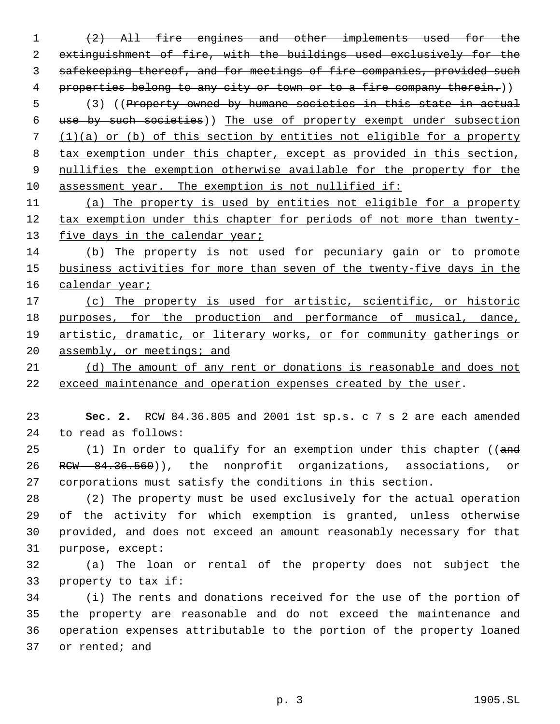(2) All fire engines and other implements used for the extinguishment of fire, with the buildings used exclusively for the safekeeping thereof, and for meetings of fire companies, provided such 4 properties belong to any city or town or to a fire company therein.))

 (3) ((Property owned by humane societies in this state in actual use by such societies)) The use of property exempt under subsection (1)(a) or (b) of this section by entities not eligible for a property tax exemption under this chapter, except as provided in this section, 9 nullifies the exemption otherwise available for the property for the assessment year. The exemption is not nullified if:

 (a) The property is used by entities not eligible for a property 12 tax exemption under this chapter for periods of not more than twenty-13 five days in the calendar year;

 (b) The property is not used for pecuniary gain or to promote 15 business activities for more than seven of the twenty-five days in the 16 calendar year;

 (c) The property is used for artistic, scientific, or historic purposes, for the production and performance of musical, dance, 19 artistic, dramatic, or literary works, or for community gatherings or 20 assembly, or meetings; and

 (d) The amount of any rent or donations is reasonable and does not exceed maintenance and operation expenses created by the user.

 **Sec. 2.** RCW 84.36.805 and 2001 1st sp.s. c 7 s 2 are each amended to read as follows:

25 (1) In order to qualify for an exemption under this chapter ((and 26 RCW 84.36.560)), the nonprofit organizations, associations, or corporations must satisfy the conditions in this section.

 (2) The property must be used exclusively for the actual operation of the activity for which exemption is granted, unless otherwise provided, and does not exceed an amount reasonably necessary for that purpose, except:

 (a) The loan or rental of the property does not subject the property to tax if:

 (i) The rents and donations received for the use of the portion of the property are reasonable and do not exceed the maintenance and operation expenses attributable to the portion of the property loaned or rented; and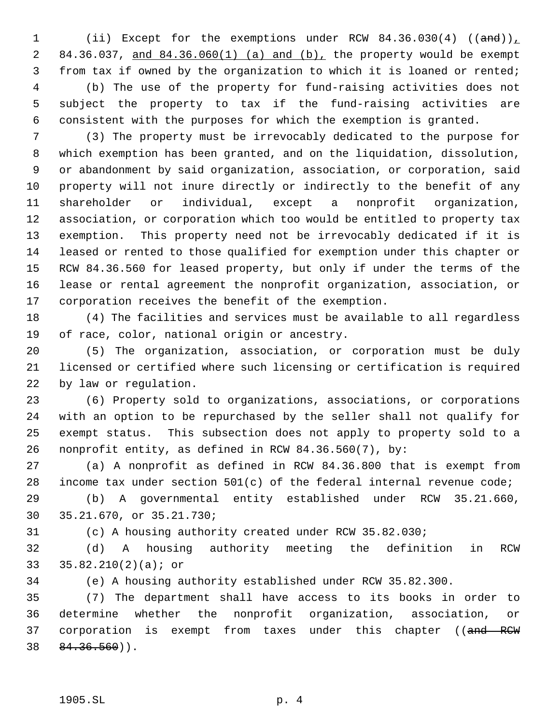1 (ii) Except for the exemptions under RCW 84.36.030(4) ((and)) 84.36.037, and 84.36.060(1) (a) and (b), the property would be exempt from tax if owned by the organization to which it is loaned or rented; (b) The use of the property for fund-raising activities does not subject the property to tax if the fund-raising activities are consistent with the purposes for which the exemption is granted.

 (3) The property must be irrevocably dedicated to the purpose for which exemption has been granted, and on the liquidation, dissolution, or abandonment by said organization, association, or corporation, said property will not inure directly or indirectly to the benefit of any shareholder or individual, except a nonprofit organization, association, or corporation which too would be entitled to property tax exemption. This property need not be irrevocably dedicated if it is leased or rented to those qualified for exemption under this chapter or RCW 84.36.560 for leased property, but only if under the terms of the lease or rental agreement the nonprofit organization, association, or corporation receives the benefit of the exemption.

 (4) The facilities and services must be available to all regardless of race, color, national origin or ancestry.

 (5) The organization, association, or corporation must be duly licensed or certified where such licensing or certification is required by law or regulation.

 (6) Property sold to organizations, associations, or corporations with an option to be repurchased by the seller shall not qualify for exempt status. This subsection does not apply to property sold to a nonprofit entity, as defined in RCW 84.36.560(7), by:

 (a) A nonprofit as defined in RCW 84.36.800 that is exempt from income tax under section 501(c) of the federal internal revenue code;

 (b) A governmental entity established under RCW 35.21.660, 35.21.670, or 35.21.730;

(c) A housing authority created under RCW 35.82.030;

 (d) A housing authority meeting the definition in RCW 35.82.210(2)(a); or

(e) A housing authority established under RCW 35.82.300.

 (7) The department shall have access to its books in order to determine whether the nonprofit organization, association, or 37 corporation is exempt from taxes under this chapter ((and RCW  $38 \quad 84.36.560)$ .